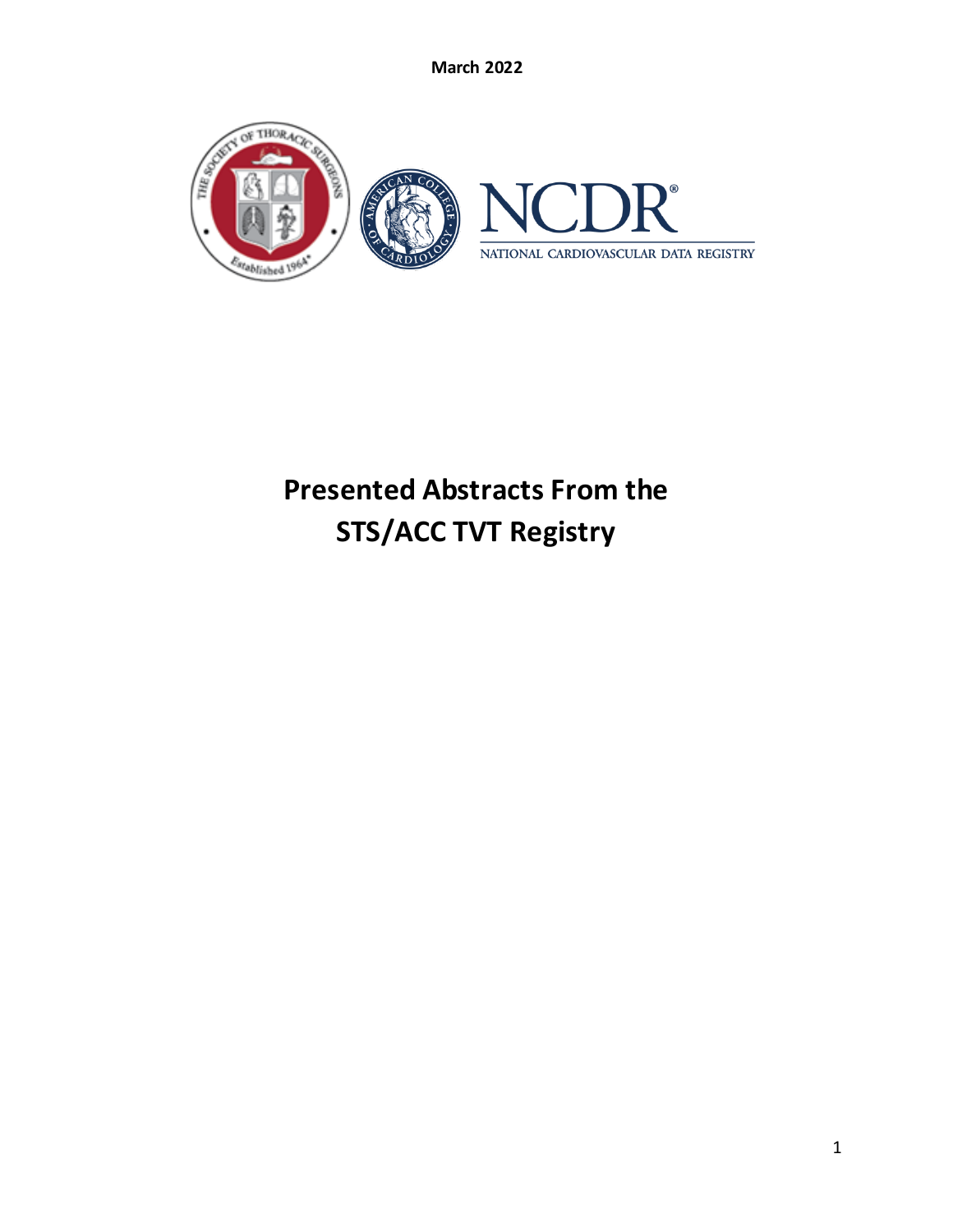

# **Presented Abstracts From the STS/ACC TVT Registry**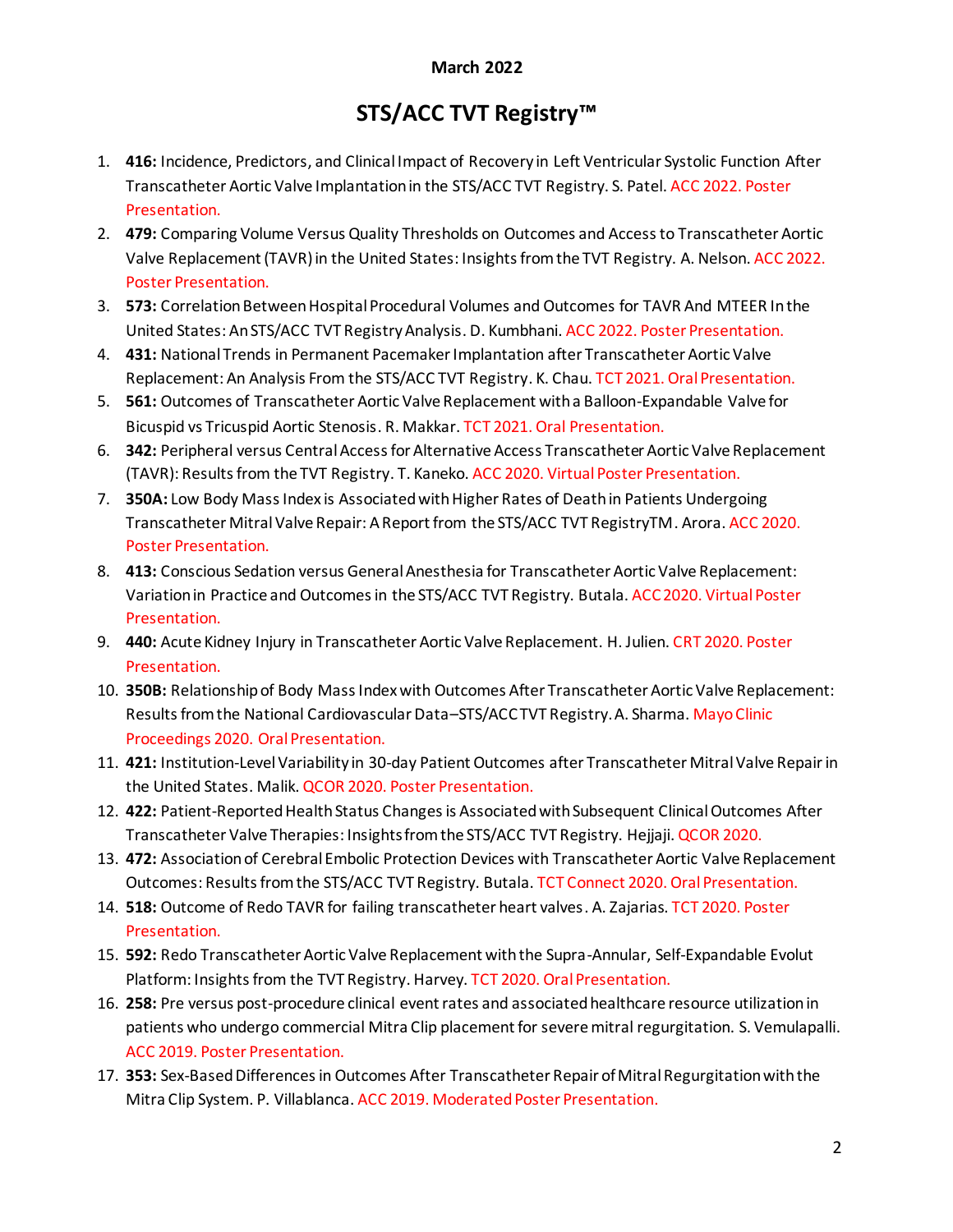## **STS/ACC TVT Registry™**

- 1. **416:** Incidence, Predictors, and Clinical Impact of Recovery in Left Ventricular Systolic Function After Transcatheter Aortic Valve Implantation in the STS/ACC TVT Registry. S. Patel. ACC 2022. Poster Presentation.
- 2. **479:** Comparing Volume Versus Quality Thresholds on Outcomes and Access to Transcatheter Aortic Valve Replacement (TAVR) in the United States: Insights from the TVT Registry. A. Nelson. ACC 2022. Poster Presentation.
- 3. **573:** Correlation Between Hospital Procedural Volumes and Outcomes for TAVR And MTEER In the United States: AnSTS/ACC TVT Registry Analysis. D. Kumbhani. ACC 2022. Poster Presentation.
- 4. **431:** National Trends in Permanent Pacemaker Implantation after Transcatheter Aortic Valve Replacement: An Analysis From the STS/ACC TVT Registry. K. Chau. TCT 2021. Oral Presentation.
- 5. **561:** Outcomes of Transcatheter Aortic Valve Replacement with a Balloon-Expandable Valve for Bicuspid vs Tricuspid Aortic Stenosis. R. Makkar. TCT 2021. Oral Presentation.
- 6. **342:** Peripheral versus Central Access for Alternative Access Transcatheter Aortic Valve Replacement (TAVR): Results from the TVT Registry. T. Kaneko. ACC 2020. Virtual Poster Presentation.
- 7. **350A:** Low Body Mass Index is Associated with Higher Rates of Death in Patients Undergoing Transcatheter Mitral Valve Repair: A Report from the STS/ACC TVT RegistryTM. Arora. ACC 2020. Poster Presentation.
- 8. **413:** Conscious Sedation versus General Anesthesia for Transcatheter Aortic Valve Replacement: Variation in Practice and Outcomes in the STS/ACC TVT Registry. Butala. ACC 2020. Virtual Poster Presentation.
- 9. **440:** Acute Kidney Injury in Transcatheter Aortic Valve Replacement. H. Julien. CRT 2020. Poster Presentation.
- 10. **350B:** Relationship of Body Mass Index with Outcomes After Transcatheter Aortic Valve Replacement: Results from the National Cardiovascular Data–STS/ACC TVT Registry. A. Sharma. Mayo Clinic Proceedings 2020. Oral Presentation.
- 11. **421:** Institution-Level Variability in 30-day Patient Outcomes after Transcatheter Mitral Valve Repair in the United States. Malik. QCOR 2020. Poster Presentation.
- 12. **422:** Patient-Reported Health Status Changes is Associated with Subsequent Clinical Outcomes After Transcatheter Valve Therapies: Insights from the STS/ACC TVT Registry. Hejjaji. QCOR 2020.
- 13. **472:** Association of Cerebral Embolic Protection Devices with Transcatheter Aortic Valve Replacement Outcomes: Results from the STS/ACC TVT Registry. Butala. TCT Connect 2020. Oral Presentation.
- 14. **518:** Outcome of Redo TAVR for failing transcatheter heart valves. A. Zajarias. TCT 2020. Poster Presentation.
- 15. **592:** Redo Transcatheter Aortic Valve Replacement with the Supra-Annular, Self-Expandable Evolut Platform: Insights from the TVT Registry. Harvey. TCT 2020. Oral Presentation.
- 16. **258:** Pre versus post-procedure clinical event rates and associated healthcare resource utilization in patients who undergo commercial Mitra Clip placement for severe mitral regurgitation. S. Vemulapalli. ACC 2019. Poster Presentation.
- 17. **353:** Sex-Based Differences in Outcomes After Transcatheter Repair of Mitral Regurgitation with the Mitra Clip System. P. Villablanca. ACC 2019. Moderated Poster Presentation.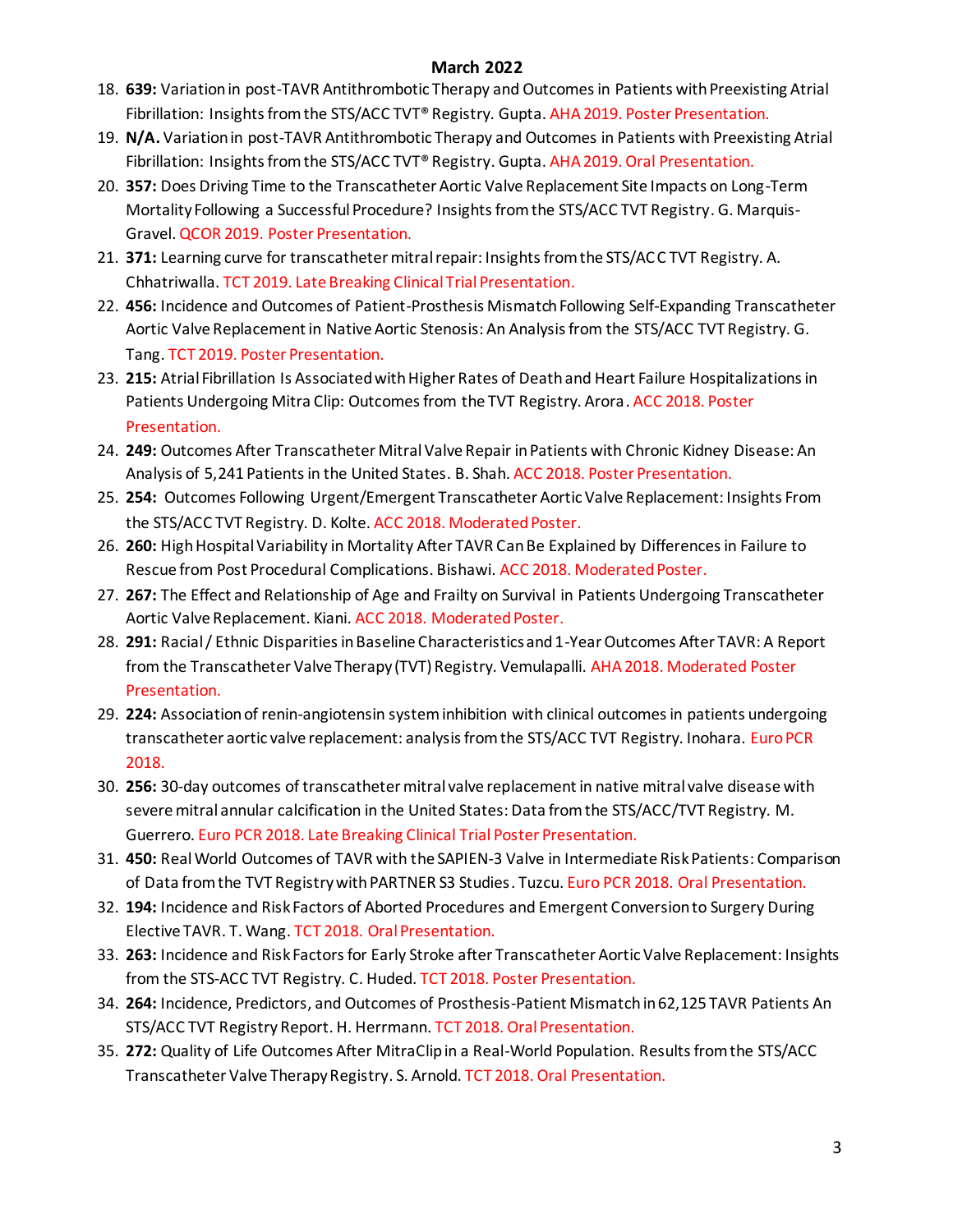- 18. **639:** Variation in post-TAVR Antithrombotic Therapy and Outcomes in Patients with Preexisting Atrial Fibrillation: Insights from the STS/ACC TVT® Registry. Gupta. AHA 2019. Poster Presentation.
- 19. **N/A.** Variation in post-TAVR Antithrombotic Therapy and Outcomes in Patients with Preexisting Atrial Fibrillation: Insights from the STS/ACC TVT® Registry. Gupta. AHA 2019. Oral Presentation.
- 20. **357:** Does Driving Time to the Transcatheter Aortic Valve Replacement Site Impacts on Long-Term Mortality Following a Successful Procedure? Insights from the STS/ACC TVT Registry. G. Marquis-Gravel. QCOR 2019. Poster Presentation.
- 21. **371:** Learning curve for transcatheter mitral repair: Insights from the STS/ACC TVT Registry. A. Chhatriwalla. TCT 2019. Late Breaking Clinical Trial Presentation.
- 22. **456:** Incidence and Outcomes of Patient-Prosthesis Mismatch Following Self-Expanding Transcatheter Aortic Valve Replacement in Native Aortic Stenosis: An Analysis from the STS/ACC TVT Registry. G. Tang. TCT 2019. Poster Presentation.
- 23. **215:** Atrial Fibrillation Is Associated with Higher Rates of Death and Heart Failure Hospitalizations in Patients Undergoing Mitra Clip: Outcomes from the TVT Registry. Arora. ACC 2018. Poster Presentation.
- 24. **249:** Outcomes After Transcatheter Mitral Valve Repair in Patients with Chronic Kidney Disease: An Analysis of 5,241 Patients in the United States. B. Shah. ACC 2018. Poster Presentation.
- 25. **254:** Outcomes Following Urgent/Emergent Transcatheter Aortic Valve Replacement: Insights From the STS/ACC TVT Registry. D. Kolte. ACC 2018. Moderated Poster.
- 26. **260:** High Hospital Variability in Mortality After TAVR Can Be Explained by Differences in Failure to Rescue from Post Procedural Complications. Bishawi. ACC 2018. Moderated Poster.
- 27. **267:** The Effect and Relationship of Age and Frailty on Survival in Patients Undergoing Transcatheter Aortic Valve Replacement. Kiani. ACC 2018. Moderated Poster.
- 28. **291:** Racial / Ethnic Disparities in Baseline Characteristics and 1-Year Outcomes After TAVR: A Report from the Transcatheter Valve Therapy (TVT) Registry. Vemulapalli. AHA 2018. Moderated Poster Presentation.
- 29. **224:** Association of renin-angiotensin system inhibition with clinical outcomes in patients undergoing transcatheter aortic valve replacement: analysis from the STS/ACC TVT Registry. Inohara. Euro PCR 2018.
- 30. **256:** 30-day outcomes of transcatheter mitral valve replacement in native mitral valve disease with severe mitral annular calcification in the United States: Data from the STS/ACC/TVT Registry. M. Guerrero. Euro PCR 2018. Late Breaking Clinical Trial Poster Presentation.
- 31. **450:** Real World Outcomes of TAVR with the SAPIEN-3 Valve in Intermediate Risk Patients: Comparison of Data from the TVT Registry with PARTNER S3 Studies. Tuzcu. Euro PCR 2018. Oral Presentation.
- 32. **194:** Incidence and Risk Factors of Aborted Procedures and Emergent Conversion to Surgery During Elective TAVR. T. Wang. TCT 2018. Oral Presentation.
- 33. **263:** Incidence and Risk Factors for Early Stroke after Transcatheter Aortic Valve Replacement: Insights from the STS-ACC TVT Registry. C. Huded. TCT 2018. Poster Presentation.
- 34. **264:** Incidence, Predictors, and Outcomes of Prosthesis-Patient Mismatch in 62,125 TAVR Patients An STS/ACC TVT Registry Report. H. Herrmann. TCT 2018. Oral Presentation.
- 35. **272:** Quality of Life Outcomes After MitraClip in a Real-World Population. Results from the STS/ACC Transcatheter Valve Therapy Registry. S. Arnold. TCT 2018. Oral Presentation.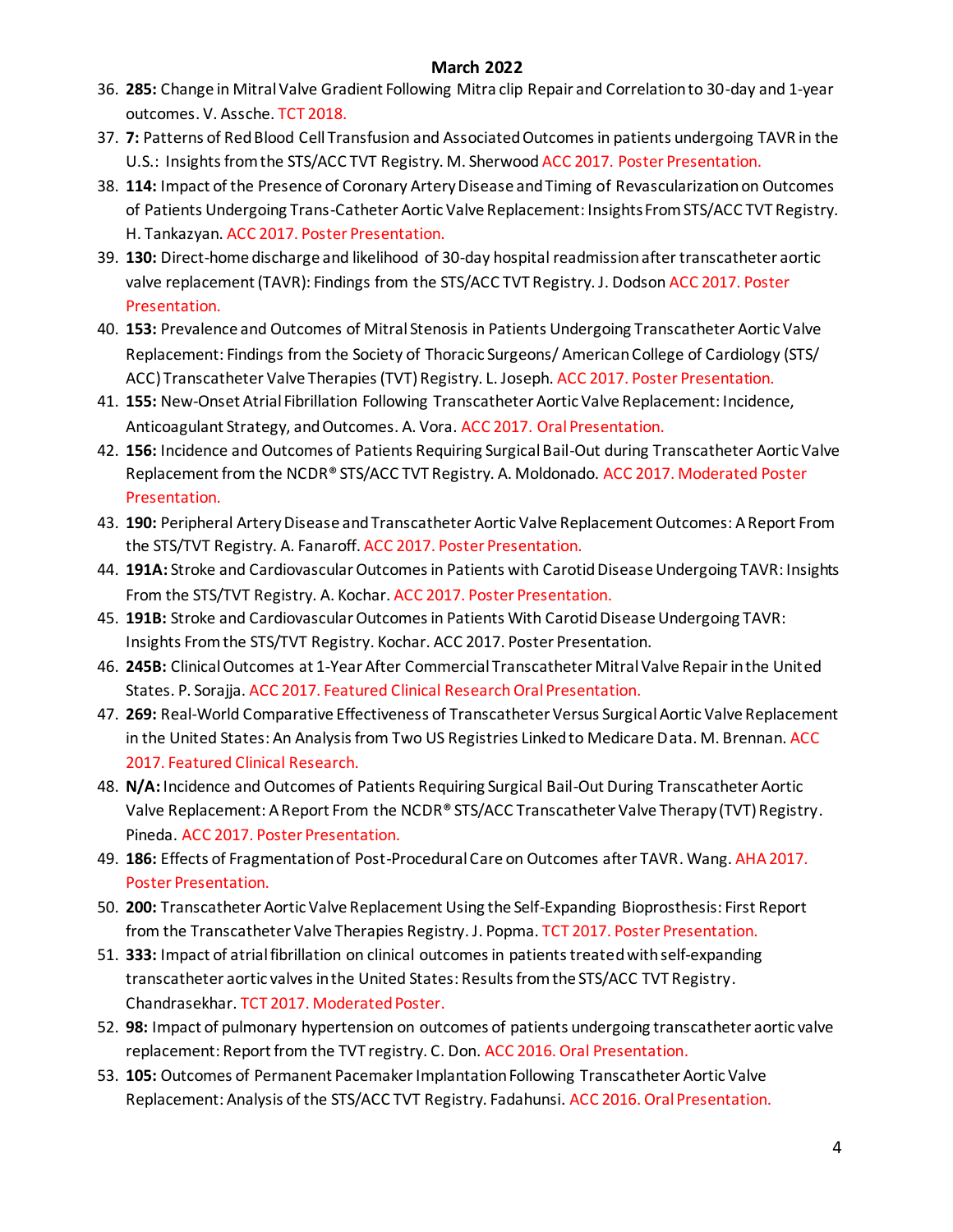- 36. **285:** Change in Mitral Valve Gradient Following Mitra clip Repair and Correlation to 30-day and 1-year outcomes. V. Assche. TCT 2018.
- 37. **7:** Patterns of Red Blood Cell Transfusion and Associated Outcomes in patients undergoing TAVR in the U.S.: Insights from the STS/ACC TVT Registry. M. Sherwood ACC 2017. Poster Presentation.
- 38. **114:** Impact of the Presence of Coronary Artery Disease and Timing of Revascularization on Outcomes of Patients Undergoing Trans-Catheter Aortic Valve Replacement: Insights From STS/ACC TVT Registry. H. Tankazyan. ACC 2017. Poster Presentation.
- 39. **130:** Direct-home discharge and likelihood of 30-day hospital readmission after transcatheter aortic valve replacement (TAVR): Findings from the STS/ACC TVT Registry. J. Dodson ACC 2017. Poster Presentation.
- 40. **153:** Prevalence and Outcomes of Mitral Stenosis in Patients Undergoing Transcatheter Aortic Valve Replacement: Findings from the Society of Thoracic Surgeons/ American College of Cardiology (STS/ ACC) Transcatheter Valve Therapies (TVT) Registry. L. Joseph. ACC 2017. Poster Presentation.
- 41. **155:** New-Onset Atrial Fibrillation Following Transcatheter Aortic Valve Replacement: Incidence, Anticoagulant Strategy, and Outcomes. A. Vora. ACC 2017. Oral Presentation.
- 42. **156:** Incidence and Outcomes of Patients Requiring Surgical Bail-Out during Transcatheter Aortic Valve Replacement from the NCDR® STS/ACC TVT Registry. A. Moldonado. ACC 2017. Moderated Poster Presentation.
- 43. **190:** Peripheral Artery Disease and Transcatheter Aortic Valve Replacement Outcomes: A Report From the STS/TVT Registry. A. Fanaroff. ACC 2017. Poster Presentation.
- 44. **191A:** Stroke and Cardiovascular Outcomes in Patients with Carotid Disease Undergoing TAVR: Insights From the STS/TVT Registry. A. Kochar. ACC 2017. Poster Presentation.
- 45. **191B:** Stroke and Cardiovascular Outcomes in Patients With Carotid Disease Undergoing TAVR: Insights From the STS/TVT Registry. Kochar. ACC 2017. Poster Presentation.
- 46. **245B:** Clinical Outcomes at 1-Year After Commercial Transcatheter Mitral Valve Repair in the United States. P. Sorajja. ACC 2017. Featured Clinical Research Oral Presentation.
- 47. **269:** Real-World Comparative Effectiveness of Transcatheter Versus Surgical Aortic Valve Replacement in the United States: An Analysis from Two US Registries Linked to Medicare Data. M. Brennan. ACC 2017. Featured Clinical Research.
- 48. **N/A:** Incidence and Outcomes of Patients Requiring Surgical Bail-Out During Transcatheter Aortic Valve Replacement: A Report From the NCDR® STS/ACC Transcatheter Valve Therapy (TVT) Registry. Pineda. ACC 2017. Poster Presentation.
- 49. **186:** Effects of Fragmentation of Post-Procedural Care on Outcomes after TAVR. Wang. AHA 2017. Poster Presentation.
- 50. **200:** Transcatheter Aortic Valve Replacement Using the Self-Expanding Bioprosthesis: First Report from the Transcatheter Valve Therapies Registry. J. Popma. TCT 2017. Poster Presentation.
- 51. **333:** Impact of atrial fibrillation on clinical outcomes in patients treated with self-expanding transcatheter aortic valves in the United States: Results from the STS/ACC TVT Registry. Chandrasekhar. TCT 2017. Moderated Poster.
- 52. **98:** Impact of pulmonary hypertension on outcomes of patients undergoing transcatheter aortic valve replacement: Report from the TVT registry. C. Don. ACC 2016. Oral Presentation.
- 53. **105:** Outcomes of Permanent Pacemaker Implantation Following Transcatheter Aortic Valve Replacement: Analysis of the STS/ACC TVT Registry. Fadahunsi. ACC 2016. Oral Presentation.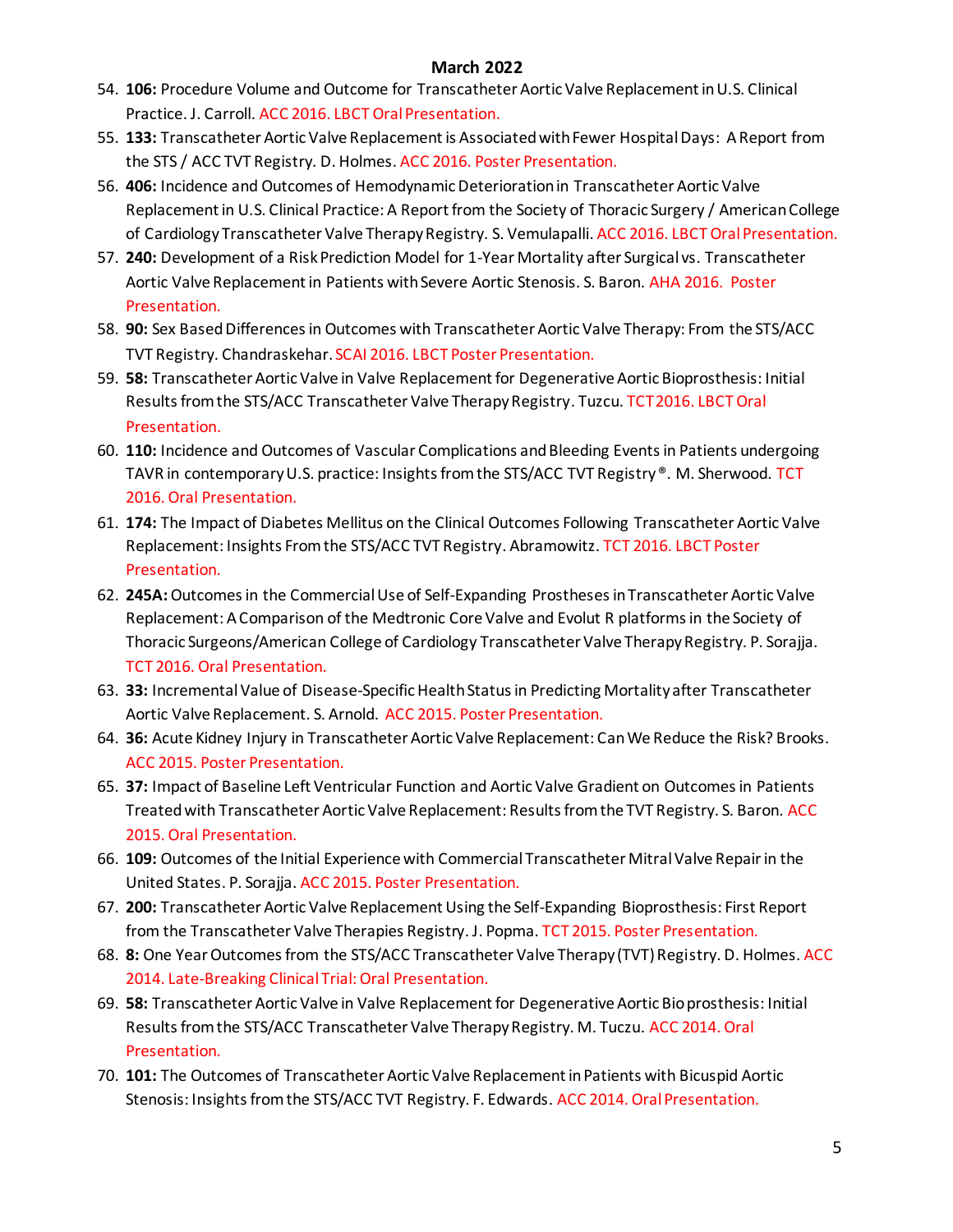- 54. **106:** Procedure Volume and Outcome for Transcatheter Aortic Valve Replacement in U.S. Clinical Practice. J. Carroll. ACC 2016. LBCT Oral Presentation.
- 55. **133:** Transcatheter Aortic Valve Replacement is Associated with Fewer Hospital Days: A Report from the STS / ACC TVT Registry. D. Holmes. ACC 2016. Poster Presentation.
- 56. **406:** Incidence and Outcomes of Hemodynamic Deterioration in Transcatheter Aortic Valve Replacement in U.S. Clinical Practice: A Report from the Society of Thoracic Surgery / American College of Cardiology Transcatheter Valve Therapy Registry. S. Vemulapalli. ACC 2016. LBCT Oral Presentation.
- 57. **240:** Development of a Risk Prediction Model for 1-Year Mortality after Surgical vs. Transcatheter Aortic Valve Replacement in Patients with Severe Aortic Stenosis. S. Baron. AHA 2016. Poster Presentation.
- 58. **90:** Sex Based Differences in Outcomes with Transcatheter Aortic Valve Therapy: From the STS/ACC TVT Registry. Chandraskehar. SCAI 2016. LBCT Poster Presentation.
- 59. **58:** Transcatheter Aortic Valve in Valve Replacement for Degenerative Aortic Bioprosthesis: Initial Results from the STS/ACC Transcatheter Valve Therapy Registry. Tuzcu. TCT 2016. LBCT Oral Presentation.
- 60. **110:** Incidence and Outcomes of Vascular Complications and Bleeding Events in Patients undergoing TAVR in contemporary U.S. practice: Insights from the STS/ACC TVT Registry ®. M. Sherwood. TCT 2016. Oral Presentation.
- 61. **174:** The Impact of Diabetes Mellitus on the Clinical Outcomes Following Transcatheter Aortic Valve Replacement: Insights From the STS/ACC TVT Registry. Abramowitz. TCT 2016. LBCT Poster Presentation.
- 62. **245A:**Outcomes in the Commercial Use of Self-Expanding Prostheses in Transcatheter Aortic Valve Replacement: A Comparison of the Medtronic Core Valve and Evolut R platforms in the Society of Thoracic Surgeons/American College of Cardiology Transcatheter Valve Therapy Registry. P. Sorajja. TCT 2016. Oral Presentation.
- 63. **33:** Incremental Value of Disease-Specific Health Status in Predicting Mortality after Transcatheter Aortic Valve Replacement. S. Arnold. ACC 2015. Poster Presentation.
- 64. **36:** Acute Kidney Injury in Transcatheter Aortic Valve Replacement: Can We Reduce the Risk? Brooks. ACC 2015. Poster Presentation.
- 65. **37:** Impact of Baseline Left Ventricular Function and Aortic Valve Gradient on Outcomes in Patients Treated with Transcatheter Aortic Valve Replacement: Results from the TVT Registry. S. Baron. ACC 2015. Oral Presentation.
- 66. **109:** Outcomes of the Initial Experience with Commercial Transcatheter Mitral Valve Repair in the United States. P. Sorajja. ACC 2015. Poster Presentation.
- 67. **200:** Transcatheter Aortic Valve Replacement Using the Self-Expanding Bioprosthesis: First Report from the Transcatheter Valve Therapies Registry. J. Popma. TCT 2015. Poster Presentation.
- 68. **8:** One Year Outcomes from the STS/ACC Transcatheter Valve Therapy (TVT) Registry. D. Holmes. ACC 2014. Late-Breaking Clinical Trial: Oral Presentation.
- 69. **58:** Transcatheter Aortic Valve in Valve Replacement for Degenerative Aortic Bio prosthesis: Initial Results from the STS/ACC Transcatheter Valve Therapy Registry. M. Tuczu. ACC 2014. Oral Presentation.
- 70. **101:** The Outcomes of Transcatheter Aortic Valve Replacement in Patients with Bicuspid Aortic Stenosis: Insights from the STS/ACC TVT Registry. F. Edwards. ACC 2014. Oral Presentation.